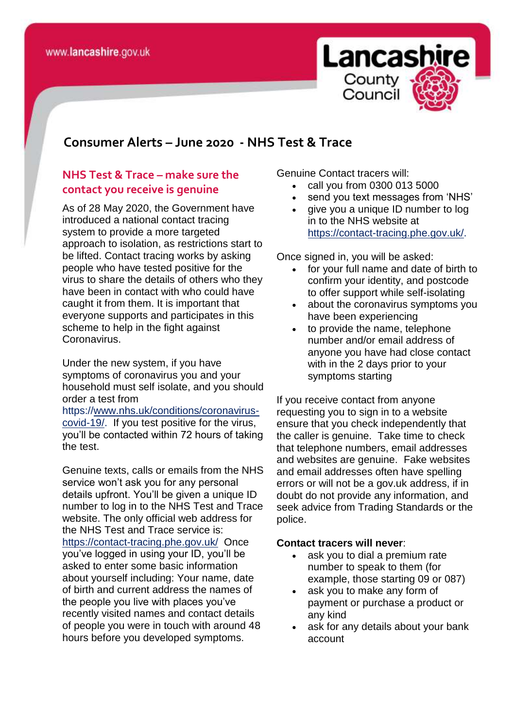

## **consomer Consumer Alerts – June 2020 - NHS Test & Trace**

## **NHS Test & Trace – make sure the contact you receive is genuine**

As of 28 May 2020, the Government have introduced a national contact tracing system to provide a more targeted approach to isolation, as restrictions start to be lifted. Contact tracing works by asking people who have tested positive for the virus to share the details of others who they have been in contact with who could have caught it from them. It is important that everyone supports and participates in this scheme to help in the fight against Coronavirus.

Under the new system, if you have symptoms of coronavirus you and your household must self isolate, and you should order a test from

https:/[/www.nhs.uk/conditions/coronavirus](http://www.nhs.uk/conditions/coronavirus-covid-19/)[covid-19/.](http://www.nhs.uk/conditions/coronavirus-covid-19/) If you test positive for the virus, you'll be contacted within 72 hours of taking the test.

Genuine texts, calls or emails from the NHS service won't ask you for any personal details upfront. You'll be given a unique ID number to log in to the NHS Test and Trace website. The only official web address for the NHS Test and Trace service is: <https://contact-tracing.phe.gov.uk/> Once you've logged in using your ID, you'll be asked to enter some basic information about yourself including: Your name, date of birth and current address the names of the people you live with places you've recently visited names and contact details of people you were in touch with around 48 hours before you developed symptoms.

Genuine Contact tracers will:

- call you from 0300 013 5000
- send you text messages from 'NHS'
- give you a unique ID number to log in to the NHS website at [https://contact-tracing.phe.gov.uk/.](https://contact-tracing.phe.gov.uk/)

Once signed in, you will be asked:

- for your full name and date of birth to confirm your identity, and postcode to offer support while self-isolating
- about the coronavirus symptoms you have been experiencing
- to provide the name, telephone number and/or email address of anyone you have had close contact with in the 2 days prior to your symptoms starting

If you receive contact from anyone requesting you to sign in to a website ensure that you check independently that the caller is genuine. Take time to check that telephone numbers, email addresses and websites are genuine. Fake websites and email addresses often have spelling errors or will not be a gov.uk address, if in doubt do not provide any information, and seek advice from Trading Standards or the police.

## **Contact tracers will never**:

- ask you to dial a premium rate number to speak to them (for example, those starting 09 or 087)
- ask you to make any form of payment or purchase a product or any kind
- ask for any details about your bank account